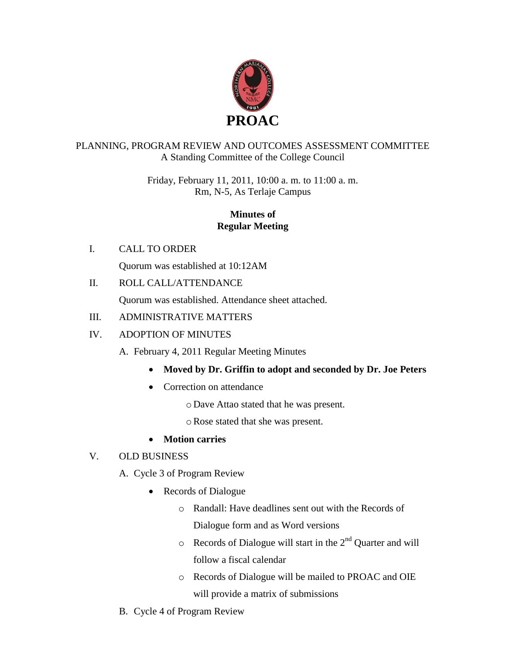

## PLANNING, PROGRAM REVIEW AND OUTCOMES ASSESSMENT COMMITTEE A Standing Committee of the College Council

Friday, February 11, 2011, 10:00 a. m. to 11:00 a. m. Rm, N-5, As Terlaje Campus

# **Minutes of Regular Meeting**

I. CALL TO ORDER

Quorum was established at 10:12AM

II. ROLL CALL/ATTENDANCE

Quorum was established. Attendance sheet attached.

## III. ADMINISTRATIVE MATTERS

### IV. ADOPTION OF MINUTES

A. February 4, 2011 Regular Meeting Minutes

- **Moved by Dr. Griffin to adopt and seconded by Dr. Joe Peters**
- Correction on attendance
	- o Dave Attao stated that he was present.
	- oRose stated that she was present.

### **Motion carries**

# V. OLD BUSINESS

- A. Cycle 3 of Program Review
	- Records of Dialogue
		- o Randall: Have deadlines sent out with the Records of Dialogue form and as Word versions
		- $\circ$  Records of Dialogue will start in the  $2<sup>nd</sup>$  Quarter and will follow a fiscal calendar
		- o Records of Dialogue will be mailed to PROAC and OIE will provide a matrix of submissions
- B. Cycle 4 of Program Review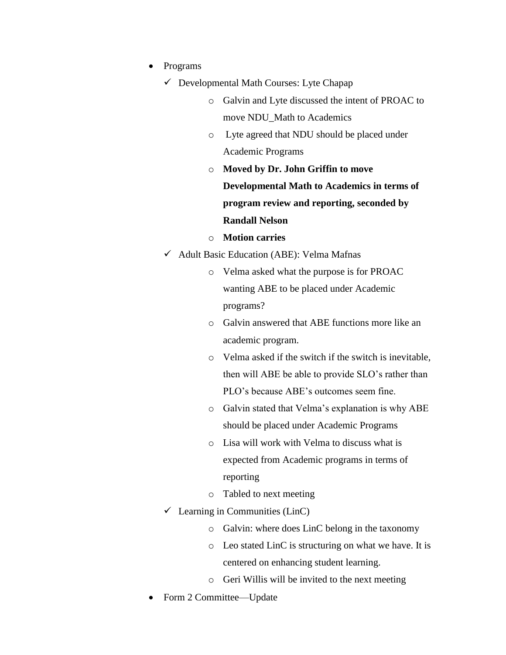- Programs
	- $\checkmark$  Developmental Math Courses: Lyte Chapap
		- o Galvin and Lyte discussed the intent of PROAC to move NDU\_Math to Academics
		- o Lyte agreed that NDU should be placed under Academic Programs
		- o **Moved by Dr. John Griffin to move Developmental Math to Academics in terms of program review and reporting, seconded by Randall Nelson**
		- o **Motion carries**
	- $\checkmark$  Adult Basic Education (ABE): Velma Mafnas
		- o Velma asked what the purpose is for PROAC wanting ABE to be placed under Academic programs?
		- o Galvin answered that ABE functions more like an academic program.
		- o Velma asked if the switch if the switch is inevitable, then will ABE be able to provide SLO's rather than PLO's because ABE's outcomes seem fine.
		- o Galvin stated that Velma's explanation is why ABE should be placed under Academic Programs
		- o Lisa will work with Velma to discuss what is expected from Academic programs in terms of reporting
		- o Tabled to next meeting
	- $\checkmark$  Learning in Communities (LinC)
		- o Galvin: where does LinC belong in the taxonomy
		- o Leo stated LinC is structuring on what we have. It is centered on enhancing student learning.
		- o Geri Willis will be invited to the next meeting
- Form 2 Committee—Update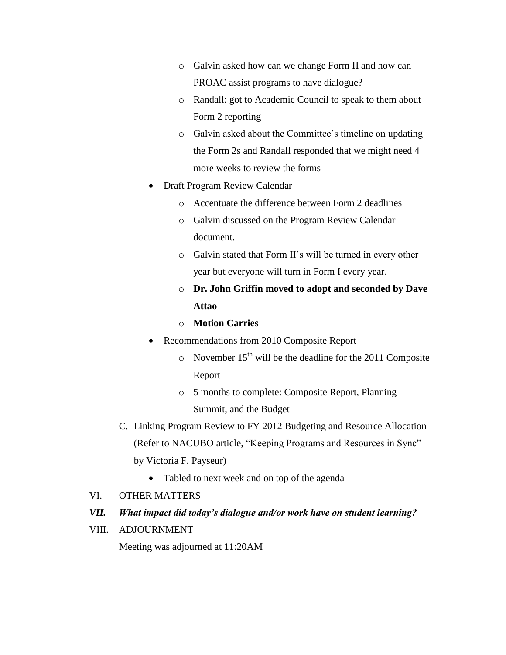- o Galvin asked how can we change Form II and how can PROAC assist programs to have dialogue?
- o Randall: got to Academic Council to speak to them about Form 2 reporting
- o Galvin asked about the Committee's timeline on updating the Form 2s and Randall responded that we might need 4 more weeks to review the forms
- Draft Program Review Calendar
	- o Accentuate the difference between Form 2 deadlines
	- o Galvin discussed on the Program Review Calendar document.
	- o Galvin stated that Form II's will be turned in every other year but everyone will turn in Form I every year.
	- o **Dr. John Griffin moved to adopt and seconded by Dave Attao**
	- o **Motion Carries**
- Recommendations from 2010 Composite Report
	- $\circ$  November 15<sup>th</sup> will be the deadline for the 2011 Composite Report
	- o 5 months to complete: Composite Report, Planning Summit, and the Budget
- C. Linking Program Review to FY 2012 Budgeting and Resource Allocation (Refer to NACUBO article, "Keeping Programs and Resources in Sync" by Victoria F. Payseur)
	- Tabled to next week and on top of the agenda
- VI. OTHER MATTERS

### *VII. What impact did today's dialogue and/or work have on student learning?*

VIII. ADJOURNMENT

Meeting was adjourned at 11:20AM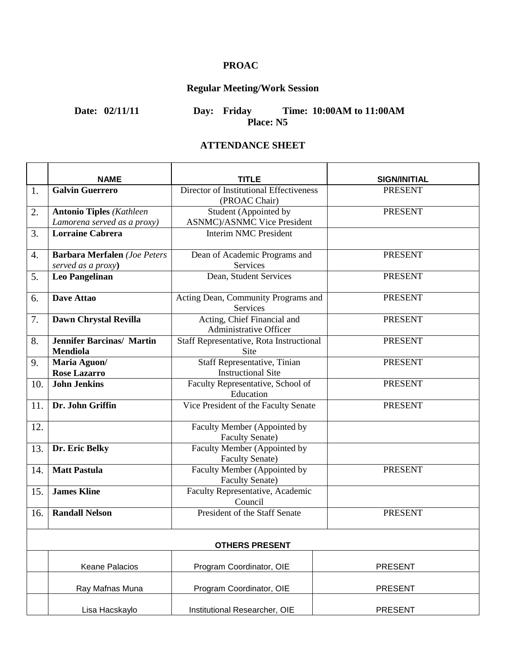# **PROAC**

# **Regular Meeting/Work Session**

**Date: 02/11/11 Day: Friday Time: 10:00AM to 11:00AM Place: N5**

### **ATTENDANCE SHEET**

|     | <b>NAME</b>                                                    | TITLE                                                            | <b>SIGN/INITIAL</b> |
|-----|----------------------------------------------------------------|------------------------------------------------------------------|---------------------|
| 1.  | <b>Galvin Guerrero</b>                                         | Director of Institutional Effectiveness<br>(PROAC Chair)         | <b>PRESENT</b>      |
| 2.  | <b>Antonio Tiples (Kathleen</b><br>Lamorena served as a proxy) | Student (Appointed by<br><b>ASNMC</b> )/ASNMC Vice President     | <b>PRESENT</b>      |
| 3.  | <b>Lorraine Cabrera</b>                                        | <b>Interim NMC President</b>                                     |                     |
| 4.  | <b>Barbara Merfalen</b> (Joe Peters<br>served as a proxy)      | Dean of Academic Programs and<br><b>Services</b>                 | <b>PRESENT</b>      |
| 5.  | <b>Leo Pangelinan</b>                                          | Dean, Student Services                                           | <b>PRESENT</b>      |
| 6.  | Dave Attao                                                     | Acting Dean, Community Programs and<br>Services                  | <b>PRESENT</b>      |
| 7.  | Dawn Chrystal Revilla                                          | Acting, Chief Financial and<br><b>Administrative Officer</b>     | <b>PRESENT</b>      |
| 8.  | <b>Jennifer Barcinas/ Martin</b><br><b>Mendiola</b>            | Staff Representative, Rota Instructional<br><b>Site</b>          | <b>PRESENT</b>      |
| 9.  | Maria Aguon/<br><b>Rose Lazarro</b>                            | <b>Staff Representative, Tinian</b><br><b>Instructional Site</b> | <b>PRESENT</b>      |
| 10. | <b>John Jenkins</b>                                            | Faculty Representative, School of<br>Education                   | <b>PRESENT</b>      |
| 11. | Dr. John Griffin                                               | Vice President of the Faculty Senate                             | <b>PRESENT</b>      |
| 12. |                                                                | Faculty Member (Appointed by<br><b>Faculty Senate)</b>           |                     |
| 13. | Dr. Eric Belky                                                 | Faculty Member (Appointed by<br><b>Faculty Senate)</b>           |                     |
| 14. | <b>Matt Pastula</b>                                            | Faculty Member (Appointed by<br><b>Faculty Senate)</b>           | <b>PRESENT</b>      |
| 15. | <b>James Kline</b>                                             | Faculty Representative, Academic<br>Council                      |                     |
| 16. | <b>Randall Nelson</b>                                          | President of the Staff Senate                                    | <b>PRESENT</b>      |
|     |                                                                | <b>OTHERS PRESENT</b>                                            |                     |
|     | Keane Palacios                                                 | Program Coordinator, OIE                                         | <b>PRESENT</b>      |
|     | Ray Mafnas Muna                                                | Program Coordinator, OIE                                         | <b>PRESENT</b>      |
|     | Lisa Hacskaylo                                                 | Institutional Researcher, OIE                                    | <b>PRESENT</b>      |